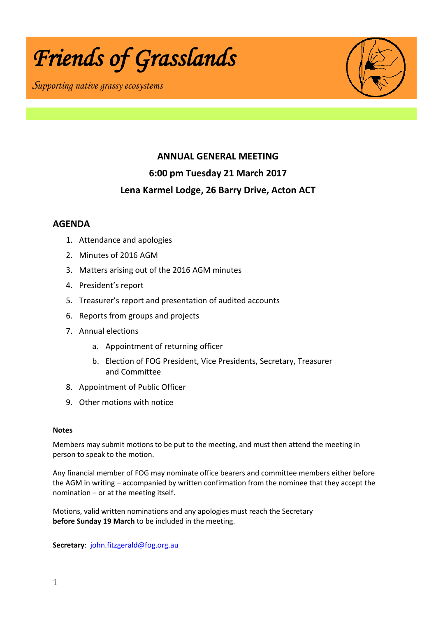*Friends of Grasslands.* 

*Supporting native grassy ecosystems* 



## **ANNUAL GENERAL MEETING 6:00 pm Tuesday 21 March 2017 Lena Karmel Lodge, 26 Barry Drive, Acton ACT**

## **AGENDA**

- 1. Attendance and apologies
- 2. Minutes of 2016 AGM
- 3. Matters arising out of the 2016 AGM minutes
- 4. President's report
- 5. Treasurer's report and presentation of audited accounts
- 6. Reports from groups and projects
- 7. Annual elections
	- a. Appointment of returning officer
	- b. Election of FOG President, Vice Presidents, Secretary, Treasurer and Committee
- 8. Appointment of Public Officer
- 9. Other motions with notice

## **Notes**

Members may submit motions to be put to the meeting, and must then attend the meeting in person to speak to the motion.

Any financial member of FOG may nominate office bearers and committee members either before the AGM in writing – accompanied by written confirmation from the nominee that they accept the nomination – or at the meeting itself.

Motions, valid written nominations and any apologies must reach the Secretary **before Sunday 19 March** to be included in the meeting.

**Secretary**: [john.fitzgerald@fog.org.au](mailto:john.fitzgerald@fog.org.au)